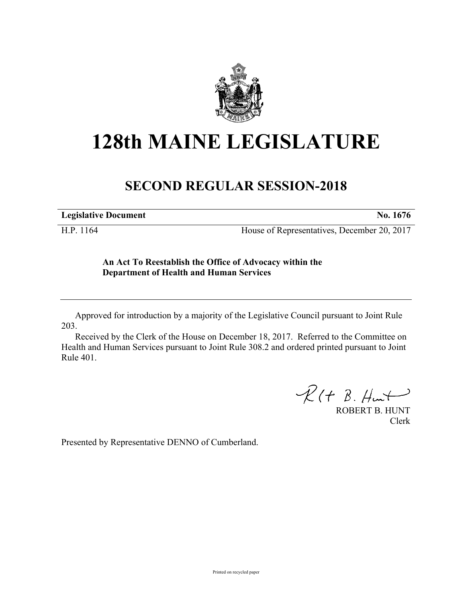

## **128th MAINE LEGISLATURE**

## **SECOND REGULAR SESSION-2018**

**Legislative Document No. 1676**

H.P. 1164 House of Representatives, December 20, 2017

## **An Act To Reestablish the Office of Advocacy within the Department of Health and Human Services**

Approved for introduction by a majority of the Legislative Council pursuant to Joint Rule 203.

Received by the Clerk of the House on December 18, 2017. Referred to the Committee on Health and Human Services pursuant to Joint Rule 308.2 and ordered printed pursuant to Joint Rule 401.

 $R(H B. H<sub>ur</sub>)$ 

ROBERT B. HUNT Clerk

Presented by Representative DENNO of Cumberland.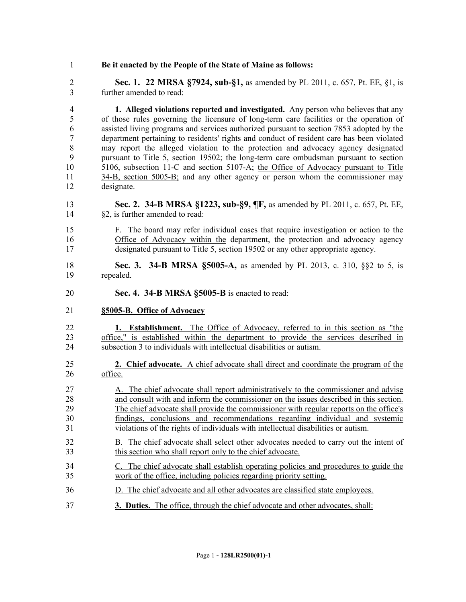**Be it enacted by the People of the State of Maine as follows:**

 **Sec. 1. 22 MRSA §7924, sub-§1,** as amended by PL 2011, c. 657, Pt. EE, §1, is further amended to read:

 **1. Alleged violations reported and investigated.** Any person who believes that any of those rules governing the licensure of long-term care facilities or the operation of assisted living programs and services authorized pursuant to section 7853 adopted by the department pertaining to residents' rights and conduct of resident care has been violated may report the alleged violation to the protection and advocacy agency designated pursuant to Title 5, section 19502; the long-term care ombudsman pursuant to section 5106, subsection 11-C and section 5107-A; the Office of Advocacy pursuant to Title 34-B, section 5005-B; and any other agency or person whom the commissioner may designate.

 **Sec. 2. 34-B MRSA §1223, sub-§9, ¶F,** as amended by PL 2011, c. 657, Pt. EE, §2, is further amended to read:

- F. The board may refer individual cases that require investigation or action to the Office of Advocacy within the department, the protection and advocacy agency designated pursuant to Title 5, section 19502 or any other appropriate agency.
- **Sec. 3. 34-B MRSA §5005-A,** as amended by PL 2013, c. 310, §§2 to 5, is repealed.
- **Sec. 4. 34-B MRSA §5005-B** is enacted to read:
- **§5005-B. Office of Advocacy**

 **1. Establishment.** The Office of Advocacy, referred to in this section as "the office," is established within the department to provide the services described in subsection 3 to individuals with intellectual disabilities or autism.

- **2. Chief advocate.** A chief advocate shall direct and coordinate the program of the office.
- A. The chief advocate shall report administratively to the commissioner and advise and consult with and inform the commissioner on the issues described in this section. The chief advocate shall provide the commissioner with regular reports on the office's findings, conclusions and recommendations regarding individual and systemic violations of the rights of individuals with intellectual disabilities or autism.
- B. The chief advocate shall select other advocates needed to carry out the intent of this section who shall report only to the chief advocate.
- C. The chief advocate shall establish operating policies and procedures to guide the work of the office, including policies regarding priority setting.
- D. The chief advocate and all other advocates are classified state employees.
- **3. Duties.** The office, through the chief advocate and other advocates, shall: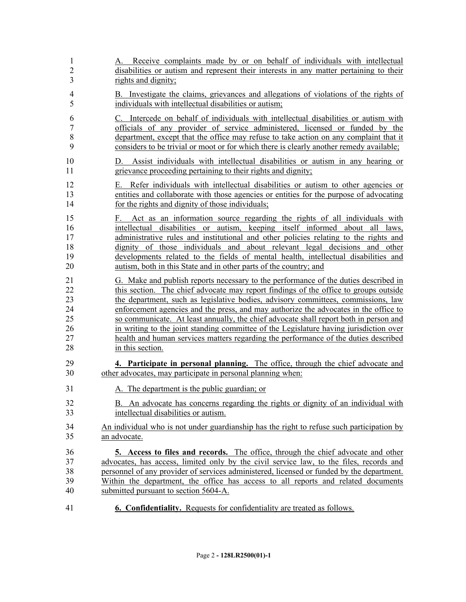| 1                                | A. Receive complaints made by or on behalf of individuals with intellectual                                                                                                                                                                                                                                                                                                                                                                                                                     |
|----------------------------------|-------------------------------------------------------------------------------------------------------------------------------------------------------------------------------------------------------------------------------------------------------------------------------------------------------------------------------------------------------------------------------------------------------------------------------------------------------------------------------------------------|
| $\overline{c}$                   | disabilities or autism and represent their interests in any matter pertaining to their                                                                                                                                                                                                                                                                                                                                                                                                          |
| 3                                | rights and dignity;                                                                                                                                                                                                                                                                                                                                                                                                                                                                             |
| 4                                | B. Investigate the claims, grievances and allegations of violations of the rights of                                                                                                                                                                                                                                                                                                                                                                                                            |
| 5                                | individuals with intellectual disabilities or autism;                                                                                                                                                                                                                                                                                                                                                                                                                                           |
| 6                                | C. Intercede on behalf of individuals with intellectual disabilities or autism with                                                                                                                                                                                                                                                                                                                                                                                                             |
| $\overline{7}$                   | officials of any provider of service administered, licensed or funded by the                                                                                                                                                                                                                                                                                                                                                                                                                    |
| 8                                | department, except that the office may refuse to take action on any complaint that it                                                                                                                                                                                                                                                                                                                                                                                                           |
| 9                                | considers to be trivial or moot or for which there is clearly another remedy available;                                                                                                                                                                                                                                                                                                                                                                                                         |
| 10                               | D. Assist individuals with intellectual disabilities or autism in any hearing or                                                                                                                                                                                                                                                                                                                                                                                                                |
| 11                               | grievance proceeding pertaining to their rights and dignity;                                                                                                                                                                                                                                                                                                                                                                                                                                    |
| 12                               | E. Refer individuals with intellectual disabilities or autism to other agencies or                                                                                                                                                                                                                                                                                                                                                                                                              |
| 13                               | entities and collaborate with those agencies or entities for the purpose of advocating                                                                                                                                                                                                                                                                                                                                                                                                          |
| 14                               | for the rights and dignity of those individuals;                                                                                                                                                                                                                                                                                                                                                                                                                                                |
| 15<br>16<br>17<br>18<br>19<br>20 | Act as an information source regarding the rights of all individuals with<br>F.<br>intellectual disabilities or autism, keeping itself informed about all laws,<br>administrative rules and institutional and other policies relating to the rights and<br>dignity of those individuals and about relevant legal decisions and other<br>developments related to the fields of mental health, intellectual disabilities and<br>autism, both in this State and in other parts of the country; and |
| 21                               | G. Make and publish reports necessary to the performance of the duties described in                                                                                                                                                                                                                                                                                                                                                                                                             |
| 22                               | this section. The chief advocate may report findings of the office to groups outside                                                                                                                                                                                                                                                                                                                                                                                                            |
| 23                               | the department, such as legislative bodies, advisory committees, commissions, law                                                                                                                                                                                                                                                                                                                                                                                                               |
| 24                               | enforcement agencies and the press, and may authorize the advocates in the office to                                                                                                                                                                                                                                                                                                                                                                                                            |
| 25                               | so communicate. At least annually, the chief advocate shall report both in person and                                                                                                                                                                                                                                                                                                                                                                                                           |
| 26                               | in writing to the joint standing committee of the Legislature having jurisdiction over                                                                                                                                                                                                                                                                                                                                                                                                          |
| 27                               | health and human services matters regarding the performance of the duties described                                                                                                                                                                                                                                                                                                                                                                                                             |
| 28                               | in this section.                                                                                                                                                                                                                                                                                                                                                                                                                                                                                |
| 29                               | 4. Participate in personal planning. The office, through the chief advocate and                                                                                                                                                                                                                                                                                                                                                                                                                 |
| 30                               | other advocates, may participate in personal planning when:                                                                                                                                                                                                                                                                                                                                                                                                                                     |
| 31                               | A. The department is the public guardian; or                                                                                                                                                                                                                                                                                                                                                                                                                                                    |
| 32                               | B. An advocate has concerns regarding the rights or dignity of an individual with                                                                                                                                                                                                                                                                                                                                                                                                               |
| 33                               | intellectual disabilities or autism.                                                                                                                                                                                                                                                                                                                                                                                                                                                            |
| 34                               | An individual who is not under guardianship has the right to refuse such participation by                                                                                                                                                                                                                                                                                                                                                                                                       |
| 35                               | an advocate.                                                                                                                                                                                                                                                                                                                                                                                                                                                                                    |
| 36                               | 5. Access to files and records. The office, through the chief advocate and other                                                                                                                                                                                                                                                                                                                                                                                                                |
| 37                               | advocates, has access, limited only by the civil service law, to the files, records and                                                                                                                                                                                                                                                                                                                                                                                                         |
| 38                               | personnel of any provider of services administered, licensed or funded by the department.                                                                                                                                                                                                                                                                                                                                                                                                       |
| 39                               | Within the department, the office has access to all reports and related documents                                                                                                                                                                                                                                                                                                                                                                                                               |
| 40                               | submitted pursuant to section 5604-A.                                                                                                                                                                                                                                                                                                                                                                                                                                                           |
| 41                               | <b>6. Confidentiality.</b> Requests for confidentiality are treated as follows.                                                                                                                                                                                                                                                                                                                                                                                                                 |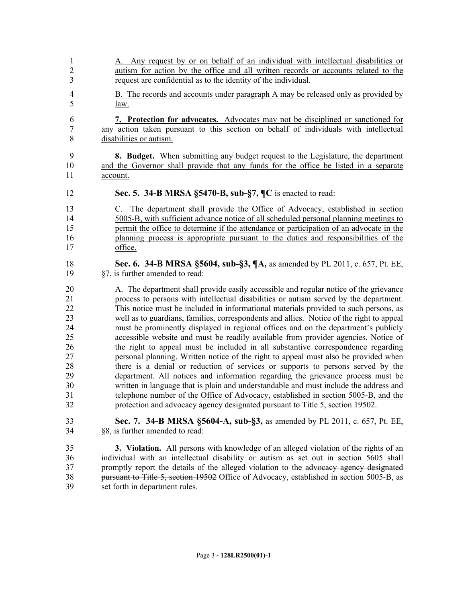- A. Any request by or on behalf of an individual with intellectual disabilities or autism for action by the office and all written records or accounts related to the request are confidential as to the identity of the individual. B. The records and accounts under paragraph A may be released only as provided by law. **7. Protection for advocates.** Advocates may not be disciplined or sanctioned for any action taken pursuant to this section on behalf of individuals with intellectual disabilities or autism. **8. Budget.** When submitting any budget request to the Legislature, the department and the Governor shall provide that any funds for the office be listed in a separate account. **Sec. 5. 34-B MRSA §5470-B, sub-§7, ¶C** is enacted to read: C. The department shall provide the Office of Advocacy, established in section 5005-B, with sufficient advance notice of all scheduled personal planning meetings to permit the office to determine if the attendance or participation of an advocate in the planning process is appropriate pursuant to the duties and responsibilities of the office. **Sec. 6. 34-B MRSA §5604, sub-§3, ¶A,** as amended by PL 2011, c. 657, Pt. EE, §7, is further amended to read: A. The department shall provide easily accessible and regular notice of the grievance process to persons with intellectual disabilities or autism served by the department. This notice must be included in informational materials provided to such persons, as well as to guardians, families, correspondents and allies. Notice of the right to appeal must be prominently displayed in regional offices and on the department's publicly accessible website and must be readily available from provider agencies. Notice of the right to appeal must be included in all substantive correspondence regarding personal planning. Written notice of the right to appeal must also be provided when there is a denial or reduction of services or supports to persons served by the department. All notices and information regarding the grievance process must be written in language that is plain and understandable and must include the address and telephone number of the Office of Advocacy, established in section 5005-B, and the protection and advocacy agency designated pursuant to Title 5, section 19502. **Sec. 7. 34-B MRSA §5604-A, sub-§3,** as amended by PL 2011, c. 657, Pt. EE, §8, is further amended to read: **3. Violation.** All persons with knowledge of an alleged violation of the rights of an individual with an intellectual disability or autism as set out in section 5605 shall 37 promptly report the details of the alleged violation to the advocacy agency designated pursuant to Title 5, section 19502 Office of Advocacy, established in section 5005-B, as
- set forth in department rules.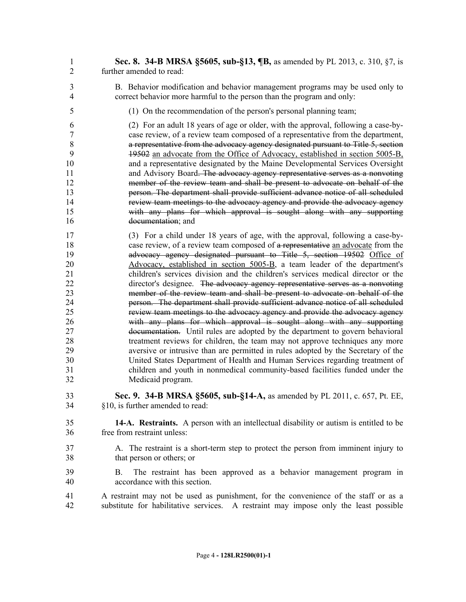- **Sec. 8. 34-B MRSA §5605, sub-§13, ¶B,** as amended by PL 2013, c. 310, §7, is further amended to read:
- B. Behavior modification and behavior management programs may be used only to correct behavior more harmful to the person than the program and only:
- (1) On the recommendation of the person's personal planning team;

 (2) For an adult 18 years of age or older, with the approval, following a case-by- case review, of a review team composed of a representative from the department, a representative from the advocacy agency designated pursuant to Title 5, section 19502 an advocate from the Office of Advocacy, established in section 5005-B, and a representative designated by the Maine Developmental Services Oversight and Advisory Board. The advocacy agency representative serves as a nonvoting member of the review team and shall be present to advocate on behalf of the person. The department shall provide sufficient advance notice of all scheduled review team meetings to the advocacy agency and provide the advocacy agency with any plans for which approval is sought along with any supporting documentation; and

 (3) For a child under 18 years of age, with the approval, following a case-by-18 case review, of a review team composed of a representative an advocate from the advocacy agency designated pursuant to Title 5, section 19502 Office of Advocacy, established in section 5005-B, a team leader of the department's children's services division and the children's services medical director or the 22 director's designee. The advocacy agency representative serves as a nonvoting member of the review team and shall be present to advocate on behalf of the person. The department shall provide sufficient advance notice of all scheduled review team meetings to the advocacy agency and provide the advocacy agency with any plans for which approval is sought along with any supporting documentation. Until rules are adopted by the department to govern behavioral treatment reviews for children, the team may not approve techniques any more aversive or intrusive than are permitted in rules adopted by the Secretary of the United States Department of Health and Human Services regarding treatment of children and youth in nonmedical community-based facilities funded under the Medicaid program.

- **Sec. 9. 34-B MRSA §5605, sub-§14-A,** as amended by PL 2011, c. 657, Pt. EE, §10, is further amended to read:
- **14-A. Restraints.** A person with an intellectual disability or autism is entitled to be free from restraint unless:
- A. The restraint is a short-term step to protect the person from imminent injury to that person or others; or
- B. The restraint has been approved as a behavior management program in accordance with this section.
- A restraint may not be used as punishment, for the convenience of the staff or as a substitute for habilitative services. A restraint may impose only the least possible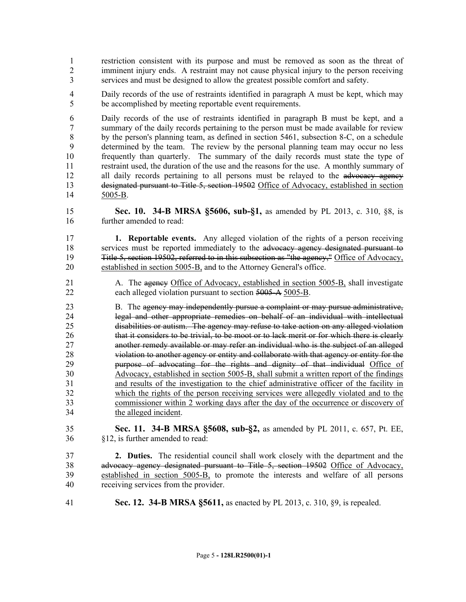restriction consistent with its purpose and must be removed as soon as the threat of 2 imminent injury ends. A restraint may not cause physical injury to the person receiving services and must be designed to allow the greatest possible comfort and safety.

 Daily records of the use of restraints identified in paragraph A must be kept, which may be accomplished by meeting reportable event requirements.

 Daily records of the use of restraints identified in paragraph B must be kept, and a summary of the daily records pertaining to the person must be made available for review 8 by the person's planning team, as defined in section 5461, subsection 8-C, on a schedule determined by the team. The review by the personal planning team may occur no less frequently than quarterly. The summary of the daily records must state the type of restraint used, the duration of the use and the reasons for the use. A monthly summary of 12 all daily records pertaining to all persons must be relayed to the advocacy agency designated pursuant to Title 5, section 19502 Office of Advocacy, established in section 5005-B.

 **Sec. 10. 34-B MRSA §5606, sub-§1,** as amended by PL 2013, c. 310, §8, is further amended to read:

 **1. Reportable events.** Any alleged violation of the rights of a person receiving services must be reported immediately to the advocacy agency designated pursuant to Title 5, section 19502, referred to in this subsection as "the agency," Office of Advocacy, 20 established in section 5005-B, and to the Attorney General's office.

21 A. The agency Office of Advocacy, established in section 5005-B, shall investigate each alleged violation pursuant to section 5005-A 5005-B.

23 B. The agency may independently pursue a complaint or may pursue administrative, legal and other appropriate remedies on behalf of an individual with intellectual disabilities or autism. The agency may refuse to take action on any alleged violation 26 that it considers to be trivial, to be moot or to lack merit or for which there is clearly another remedy available or may refer an individual who is the subject of an alleged violation to another agency or entity and collaborate with that agency or entity for the purpose of advocating for the rights and dignity of that individual Office of Advocacy, established in section 5005-B, shall submit a written report of the findings and results of the investigation to the chief administrative officer of the facility in which the rights of the person receiving services were allegedly violated and to the commissioner within 2 working days after the day of the occurrence or discovery of the alleged incident.

 **Sec. 11. 34-B MRSA §5608, sub-§2,** as amended by PL 2011, c. 657, Pt. EE, §12, is further amended to read:

 **2. Duties.** The residential council shall work closely with the department and the advocacy agency designated pursuant to Title 5, section 19502 Office of Advocacy, established in section 5005-B, to promote the interests and welfare of all persons receiving services from the provider.

**Sec. 12. 34-B MRSA §5611,** as enacted by PL 2013, c. 310, §9, is repealed.